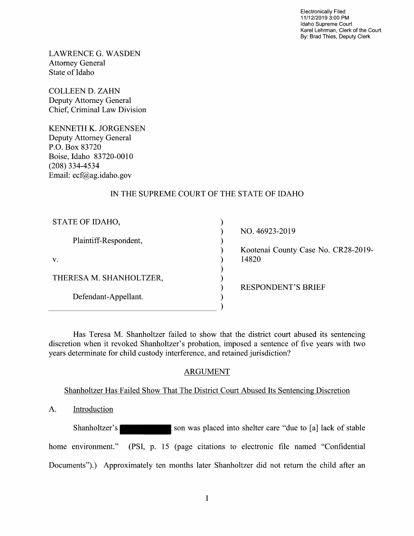Electronically Filed 11/12/2019 3:00 PM Idaho Supreme Court Karel Lehrman, Clerk of the Court By: Brad Thies, Deputy Clerk

LAWRENCE G.WASDEN Attorney General State 0f Idaho

COLLEEN D. ZAHN Deputy Attorney General Chief, Criminal Law Division

KENNETH K. JORGENSEN Deputy Attorney General P.O. BOX 83720 Boise, Idaho 83720-0010 (208) 334-4534 Email: ecf@ag.idaho.gov

# IN THE SUPREME COURT OF THE STATE OF IDAHO

| STATE OF IDAHO,         |                |
|-------------------------|----------------|
|                         | NO. 46923-     |
| Plaintiff-Respondent,   |                |
|                         | Kootenai C     |
| V.                      | 14820          |
|                         |                |
| THERESA M. SHANHOLTZER, |                |
|                         | <b>RESPOND</b> |
| Defendant-Appellant.    |                |
|                         |                |
|                         |                |

NO. 46923-2019

Kootenai County Case No. CR28-2019-

RESPONDENT'S BRIEF

Has Teresa M. Shanholtzer failed to show that the district court abused its sentencing discretion when it revoked Shanholtzer's probation, imposed a sentence of five years with two years determinate for child custody interference, and retained jurisdiction?

## ARGUMENT

## Shanholtzer Has Failed Show That The District Court Abused Its Sentencing Discretion

A. Introduction

Shanholtzer's son was placed into shelter care "due to [a] lack of stable home environment." (PSI, p. 15 (page citations to electronic file named "Confidential") Documents").) Approximately ten months later Shanholtzer did not return the child after an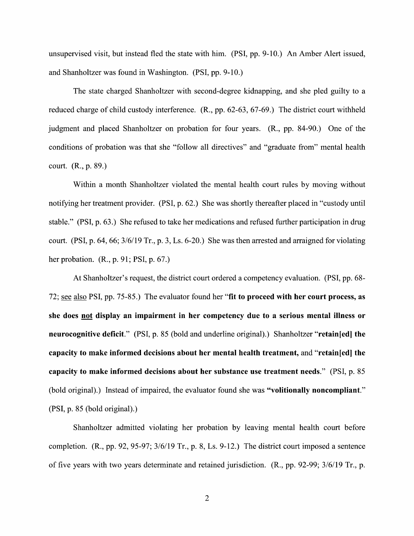unsupervised visit, but instead fled the state with him. (PSI, pp. 9-10.) An Amber Alert issued, and Shanholtzer was found in Washington. (PSI, pp. 9-10.)

The state charged Shanholtzer with second-degree kidnapping, and she pled guilty to a reduced charge 0f child custody interference. (R., pp. 62-63, 67-69.) The district court withheld judgment and placed Shanholtzer on probation for four years. (R., pp. 84-90.) One of the conditions 0f probation was that she "follow all directives" and "graduate from" mental health court. (R., p. 89.)

Within a month Shanholtzer violated the mental health court rules by moving without notifying her treatment provider. (PSI, p. 62.) She was shortly thereafter placed in "custody until stable." (PSI, p. 63.) She refused to take her medications and refused further participation in drug court. (PSI, p. 64, 66;  $3/6/19$  Tr., p. 3, Ls. 6-20.) She was then arrested and arraigned for violating her probation. (R., p. 91; PSI, p. 67.)

At Shanholtzer's request, the district court ordered a competency evaluation. (PSI, pp. 68-72; see also PSI, pp. 75-85.) The evaluator found her "fit to proceed with her court process, as she does not display an impairment in her competency due to a serious mental illness or neurocognitive deficit." (PSI, p. 85 (bold and underline original).) Shanholtzer "retain[ed] the capacity t0 make informed decisions about her mental health treatment, and "retain[ed] the capacity to make informed decisions about her substance use treatment needs." (PSI, p. 85 (bold original).) Instead of impaired, the evaluator found she was "volitionally noncompliant." (PSI, p. 85 (bold original).)

Shanholtzer admitted Violating her probation by leaving mental health court before completion.  $(R., pp. 92, 95-97; 3/6/19 \text{ Tr.}, p. 8, Ls. 9-12.)$  The district court imposed a sentence 0f five years with two years determinate and retained jurisdiction. (R., pp. 92-99; 3/6/19 Tr., p.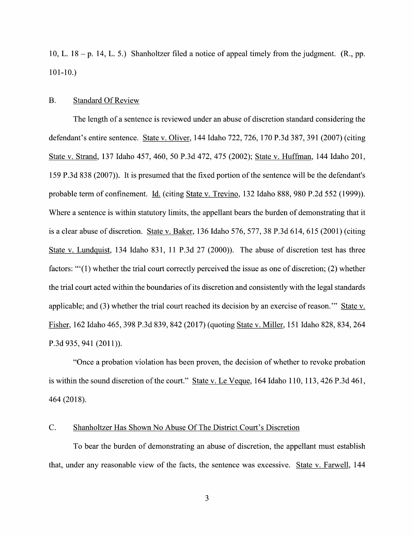10, L.  $18 - p$ . 14, L. 5.) Shanholtzer filed a notice of appeal timely from the judgment. (R., pp.  $101-10.$ 

### B. Standard Of Review

The length of a sentence is reviewed under an abuse of discretion standard considering the defendant's entire sentence. State v. Oliver, 144 Idaho 722, 726, 170 P.3d 387, 391 (2007) (citing State v. Strand, 137 Idaho 457, 460, 50 P.3d 472, 475 (2002); State v. Huffman, 144 Idaho 201, 159 P.3d 838 (2007)). It is presumed that the fixed portion 0f the sentence Will be the defendant's probable term of confinement. Li. (citing State V. Trevino, 132 Idaho 888, 980 P.2d 552 (1999)). Where a sentence is within statutory limits, the appellant bears the burden of demonstrating that it is a clear abuse of discretion. State v. Baker, 136 Idaho 576, 577, 38 P.3d 614, 615 (2001) (citing State V. Lundquist, 134 Idaho 831, 11 P.3d 27 (2000)). The abuse 0f discretion test has three factors: " $(1)$  whether the trial court correctly perceived the issue as one of discretion; (2) whether the trial court acted Within the boundaries of its discretion and consistently With the legal standards applicable; and (3) whether the trial court reached its decision by an exercise of reason." State v. Lher, <sup>162</sup> Idaho 465, <sup>398</sup> P.3d 839, <sup>842</sup> (2017) (quoting State V. Miller, <sup>151</sup> Idaho 828, 834, <sup>264</sup> P.3d 935, 941 (2011)).

"Once a probation violation has been proven, the decision of whether to revoke probation is within the sound discretion of the court." State v. Le Veque, 164 Idaho 110, 113, 426 P.3d 461, 464(2018)

### C. Shanholtzer Has Shown N0 Abuse Of The District Court's Discretion

To bear the burden of demonstrating an abuse of discretion, the appellant must establish that, under any reasonable view of the facts, the sentence was excessive. State v. Farwell, 144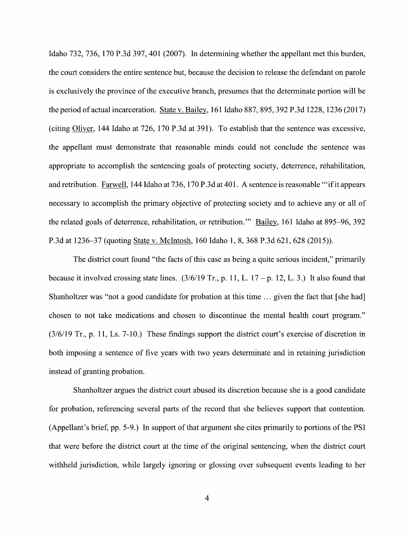Idaho 732, 736, 170 P.3d 397, 401 (2007). In determining whether the appellant met this burden, the court considers the entire sentence but, because the decision to release the defendant on parole is exclusively the province 0f the executive branch, presumes that the determinate portion Will be is exclusively the province of the executive branch, presumes that the determinate portion will be<br>the period of actual incarceration. State v. Bailey, 161 Idaho 887, 895, 392 P.3d 1228, 1236 (2017) the period of actual incarceration. State v. Bailey, 161 Idaho 887, 895, 392 P.3d 1228, 1236 (2017)<br>(citing Oliver, 144 Idaho at 726, 170 P.3d at 391). To establish that the sentence was excessive, the appellant must demonstrate that reasonable minds could not conclude the sentence was appropriate to accomplish the sentencing goals of protecting society, deterrence, rehabilitation, and retribution. Farwell, 144 Idaho at 736, 170 P.3d at 401. A sentence is reasonable "'if it appears necessary to accomplish the primary objective of protecting society and to achieve any or all of the related goals of deterrence, rehabilitation, or retribution." Bailey, 161 Idaho at 895-96, 392 P.3d at 1236—37 (quoting State V. McIntosh, 160 Idaho 1, 8, 368 P.3d 621, 628 (2015)).

The district court found "the facts of this case as being a quite serious incident," primarily because it involved crossing state lines.  $(3/6/19 \text{ Tr.}, p. 11, L. 17 - p. 12, L. 3.)$  It also found that Shanholtzer was "not a good candidate for probation at this time  $\ldots$  given the fact that [she had] chosen to not take medications and chosen to discontinue the mental health court program." (3/6/19 Tr., p. 11, Ls. 7-10.) These findings support the district court's exercise 0f discretion in both imposing a sentence of five years with two years determinate and in retaining jurisdiction instead 0f granting probation.

Shanholtzer argues the district court abused its discretion because she is good candidate for probation, referencing several parts of the record that she believes support that contention. (Appellant's brief, pp. 5-9.) In support of that argument she cites primarily to portions of the PSI that were before the district court at the time 0f the original sentencing, when the district court Withheld jurisdiction, While largely ignoring 0r glossing over subsequent events leading to her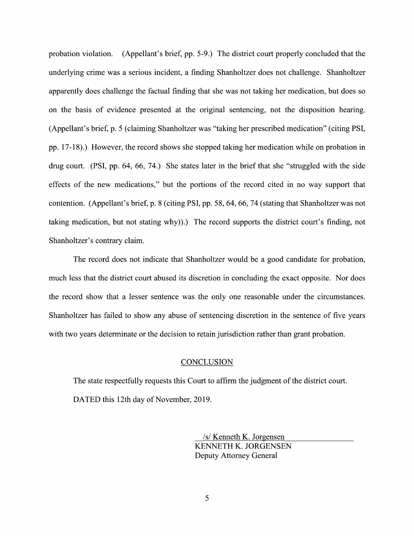probation Violation. (Appellant's brief, pp. 5-9.) The district court properly concluded that the underlying crime was a serious incident, a finding Shanholtzer does not challenge. Shanholtzer apparently does challenge the factual finding that she was not taking her medication, but does so 0n the basis of evidence presented at the original sentencing, not the disposition hearing. (Appellant's brief, p. 5 (claiming Shanholtzer was "taking her prescribed medication" (citing PSI, pp. 17-18).) However, the record shows she stopped taking her medication while on probation in drug court. (PSI, pp. 64, 66, 74.) She states later in the brief that she "struggled with the side effects of the new medications," but the portions of the record cited in no way support that contention. (Appellant's brief, p. 8 (citing PSI, pp. 58, 64, 66, 74 (stating that Shanholtzer was not taking medication, but not stating why)).) The record supports the district court's finding, not Shanholtzer's contrary claim.

The record does not indicate that Shanholtzer would be a good candidate for probation, much less that the district court abused its discretion in concluding the exact opposite. Nor does the record show that a lesser sentence was the only one reasonable under the circumstances. Shanholtzer has failed to show any abuse 0f sentencing discretion in the sentence of five years with two years determinate or the decision to retain jurisdiction rather than grant probation.

#### **CONCLUSION**

The state respectfully requests this Court to affirm the judgment of the district court. DATED this 12th day of November, 2019.

> \_/s/ Kenneth K. Jorgensen KENNETH K. JORGENSEN Deputy Attorney General